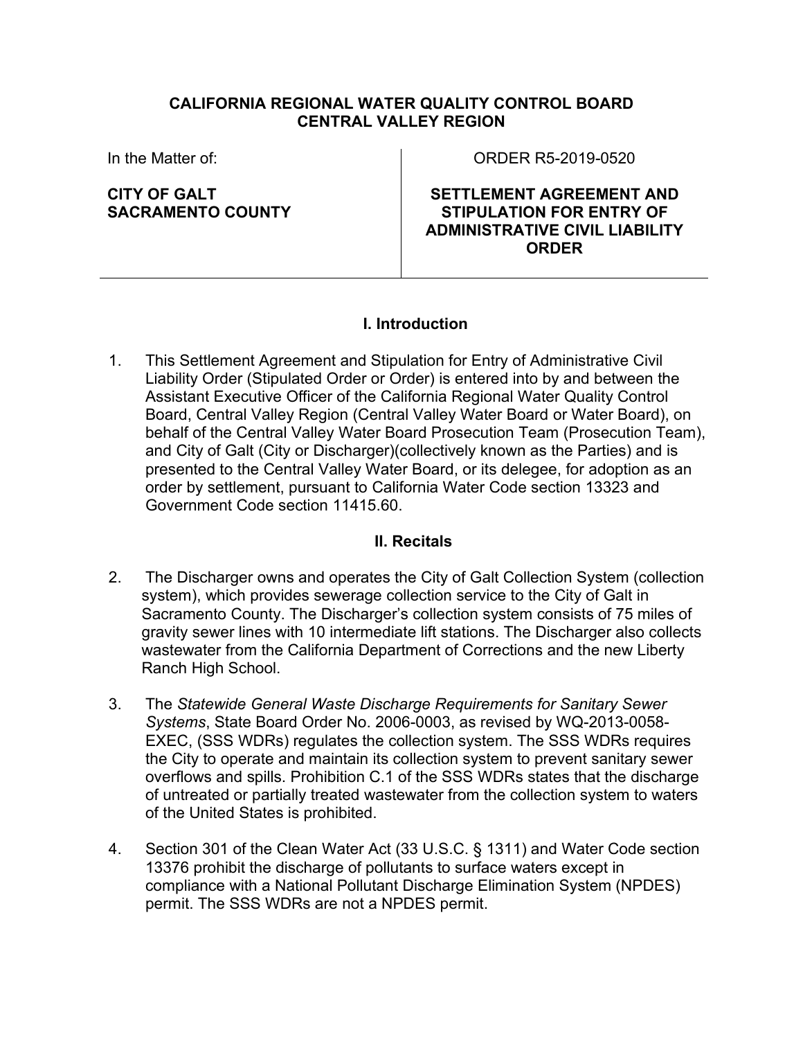### **CALIFORNIA REGIONAL WATER QUALITY CONTROL BOARD CENTRAL VALLEY REGION**

In the Matter of:

**CITY OF GALT SACRAMENTO COUNTY** ORDER R5-2019-0520

**SETTLEMENT AGREEMENT AND STIPULATION FOR ENTRY OF ADMINISTRATIVE CIVIL LIABILITY ORDER**

### **I. Introduction**

1. This Settlement Agreement and Stipulation for Entry of Administrative Civil Liability Order (Stipulated Order or Order) is entered into by and between the Assistant Executive Officer of the California Regional Water Quality Control Board, Central Valley Region (Central Valley Water Board or Water Board), on behalf of the Central Valley Water Board Prosecution Team (Prosecution Team), and City of Galt (City or Discharger)(collectively known as the Parties) and is presented to the Central Valley Water Board, or its delegee, for adoption as an order by settlement, pursuant to California Water Code section 13323 and Government Code section 11415.60.

### **II. Recitals**

- 2. The Discharger owns and operates the City of Galt Collection System (collection system), which provides sewerage collection service to the City of Galt in Sacramento County. The Discharger's collection system consists of 75 miles of gravity sewer lines with 10 intermediate lift stations. The Discharger also collects wastewater from the California Department of Corrections and the new Liberty Ranch High School.
- 3. The *Statewide General Waste Discharge Requirements for Sanitary Sewer Systems*, State Board Order No. 2006-0003, as revised by WQ-2013-0058- EXEC, (SSS WDRs) regulates the collection system. The SSS WDRs requires the City to operate and maintain its collection system to prevent sanitary sewer overflows and spills. Prohibition C.1 of the SSS WDRs states that the discharge of untreated or partially treated wastewater from the collection system to waters of the United States is prohibited.
- 4. Section 301 of the Clean Water Act (33 U.S.C. § 1311) and Water Code section 13376 prohibit the discharge of pollutants to surface waters except in compliance with a National Pollutant Discharge Elimination System (NPDES) permit. The SSS WDRs are not a NPDES permit.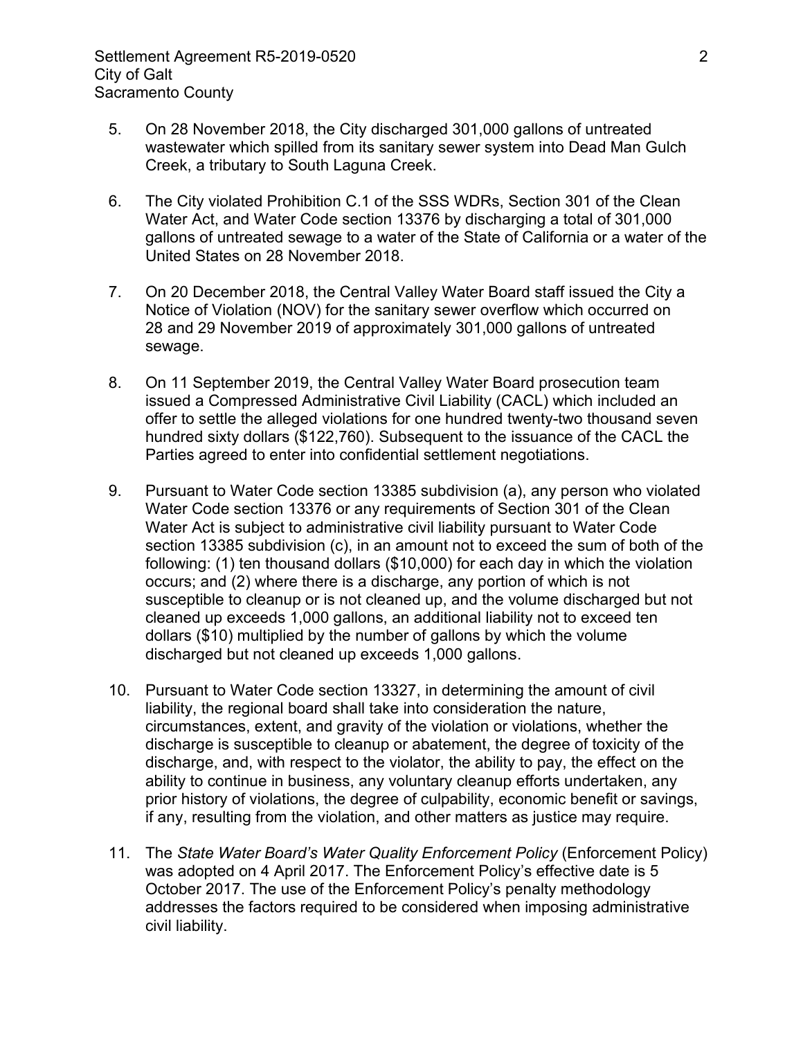- 5. On 28 November 2018, the City discharged 301,000 gallons of untreated wastewater which spilled from its sanitary sewer system into Dead Man Gulch Creek, a tributary to South Laguna Creek.
- 6. The City violated Prohibition C.1 of the SSS WDRs, Section 301 of the Clean Water Act, and Water Code section 13376 by discharging a total of 301,000 gallons of untreated sewage to a water of the State of California or a water of the United States on 28 November 2018.
- 7. On 20 December 2018, the Central Valley Water Board staff issued the City a Notice of Violation (NOV) for the sanitary sewer overflow which occurred on 28 and 29 November 2019 of approximately 301,000 gallons of untreated sewage.
- 8. On 11 September 2019, the Central Valley Water Board prosecution team issued a Compressed Administrative Civil Liability (CACL) which included an offer to settle the alleged violations for one hundred twenty-two thousand seven hundred sixty dollars (\$122,760). Subsequent to the issuance of the CACL the Parties agreed to enter into confidential settlement negotiations.
- 9. Pursuant to Water Code section 13385 subdivision (a), any person who violated Water Code section 13376 or any requirements of Section 301 of the Clean Water Act is subject to administrative civil liability pursuant to Water Code section 13385 subdivision (c), in an amount not to exceed the sum of both of the following: (1) ten thousand dollars (\$10,000) for each day in which the violation occurs; and (2) where there is a discharge, any portion of which is not susceptible to cleanup or is not cleaned up, and the volume discharged but not cleaned up exceeds 1,000 gallons, an additional liability not to exceed ten dollars (\$10) multiplied by the number of gallons by which the volume discharged but not cleaned up exceeds 1,000 gallons.
- 10. Pursuant to Water Code section 13327, in determining the amount of civil liability, the regional board shall take into consideration the nature, circumstances, extent, and gravity of the violation or violations, whether the discharge is susceptible to cleanup or abatement, the degree of toxicity of the discharge, and, with respect to the violator, the ability to pay, the effect on the ability to continue in business, any voluntary cleanup efforts undertaken, any prior history of violations, the degree of culpability, economic benefit or savings, if any, resulting from the violation, and other matters as justice may require.
- 11. The *State Water Board's Water Quality Enforcement Policy* (Enforcement Policy) was adopted on 4 April 2017. The Enforcement Policy's effective date is 5 October 2017. The use of the Enforcement Policy's penalty methodology addresses the factors required to be considered when imposing administrative civil liability.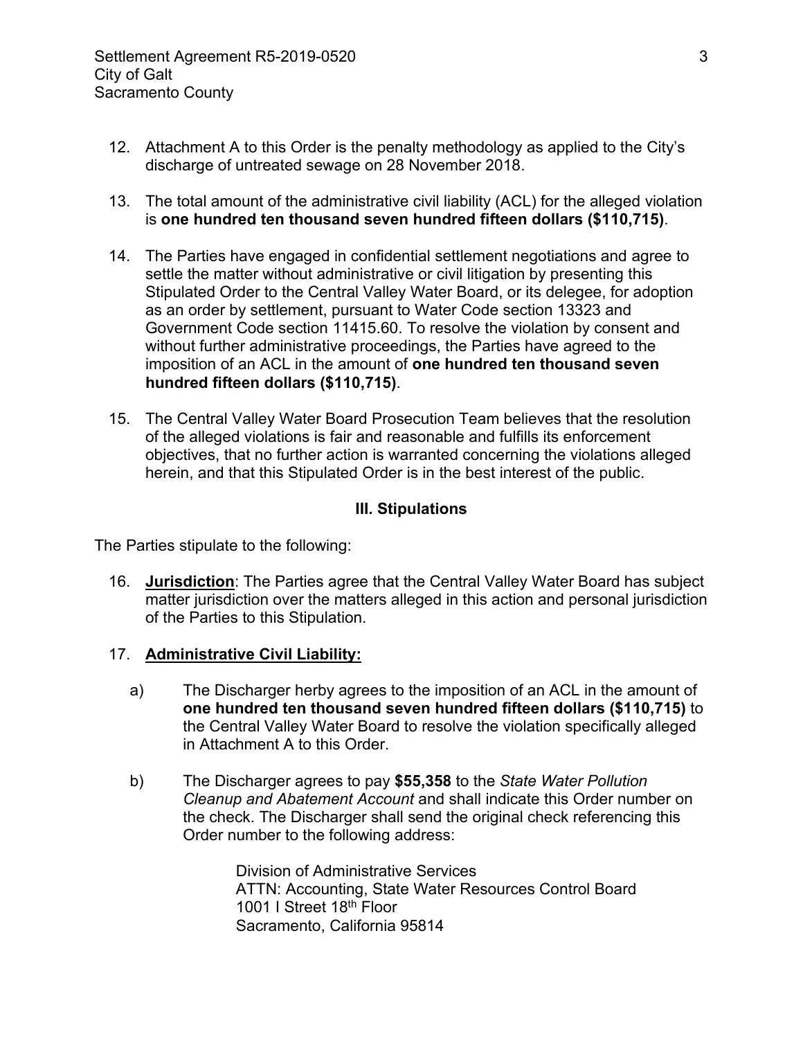- 12. Attachment A to this Order is the penalty methodology as applied to the City's discharge of untreated sewage on 28 November 2018.
- 13. The total amount of the administrative civil liability (ACL) for the alleged violation is **one hundred ten thousand seven hundred fifteen dollars (\$110,715)**.
- 14. The Parties have engaged in confidential settlement negotiations and agree to settle the matter without administrative or civil litigation by presenting this Stipulated Order to the Central Valley Water Board, or its delegee, for adoption as an order by settlement, pursuant to Water Code section 13323 and Government Code section 11415.60. To resolve the violation by consent and without further administrative proceedings, the Parties have agreed to the imposition of an ACL in the amount of **one hundred ten thousand seven hundred fifteen dollars (\$110,715)**.
- 15. The Central Valley Water Board Prosecution Team believes that the resolution of the alleged violations is fair and reasonable and fulfills its enforcement objectives, that no further action is warranted concerning the violations alleged herein, and that this Stipulated Order is in the best interest of the public.

### **III. Stipulations**

The Parties stipulate to the following:

16. **Jurisdiction**: The Parties agree that the Central Valley Water Board has subject matter jurisdiction over the matters alleged in this action and personal jurisdiction of the Parties to this Stipulation.

### 17. **Administrative Civil Liability:**

- a) The Discharger herby agrees to the imposition of an ACL in the amount of **one hundred ten thousand seven hundred fifteen dollars (\$110,715)** to the Central Valley Water Board to resolve the violation specifically alleged in Attachment A to this Order.
- b) The Discharger agrees to pay **\$55,358** to the *State Water Pollution Cleanup and Abatement Account* and shall indicate this Order number on the check. The Discharger shall send the original check referencing this Order number to the following address:

Division of Administrative Services ATTN: Accounting, State Water Resources Control Board 1001 I Street 18<sup>th</sup> Floor Sacramento, California 95814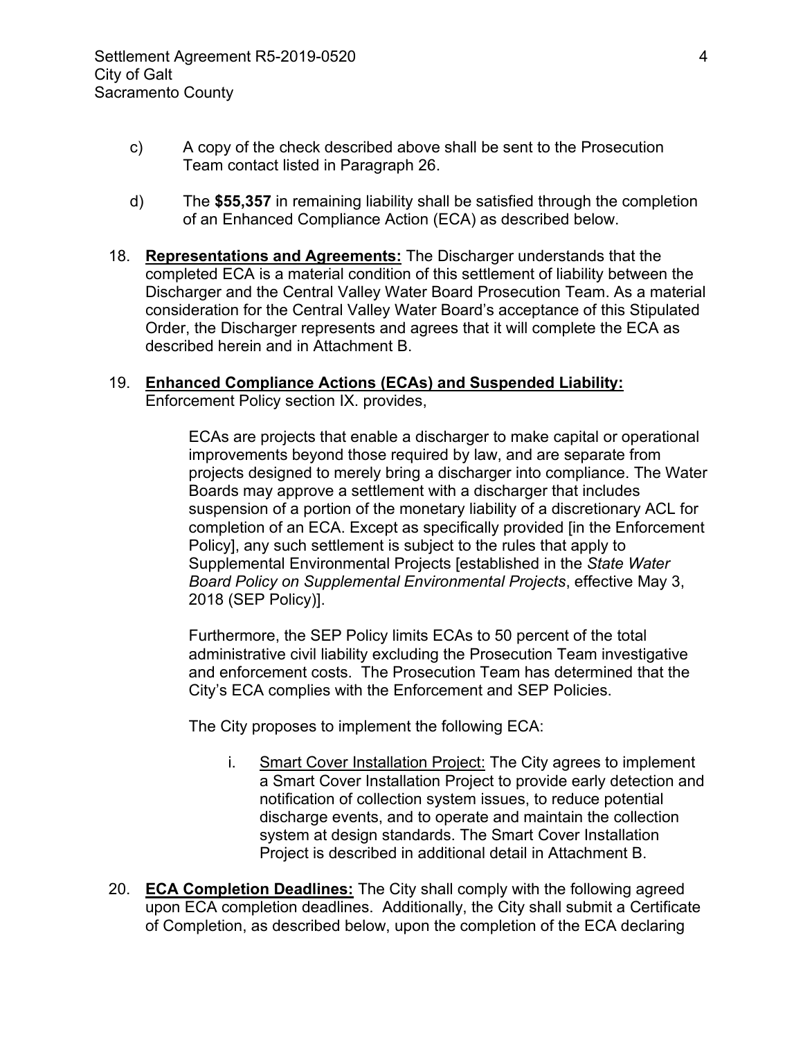- c) A copy of the check described above shall be sent to the Prosecution Team contact listed in Paragraph 26.
- d) The **\$55,357** in remaining liability shall be satisfied through the completion of an Enhanced Compliance Action (ECA) as described below.
- 18. **Representations and Agreements:** The Discharger understands that the completed ECA is a material condition of this settlement of liability between the Discharger and the Central Valley Water Board Prosecution Team. As a material consideration for the Central Valley Water Board's acceptance of this Stipulated Order, the Discharger represents and agrees that it will complete the ECA as described herein and in Attachment B.

# 19. **Enhanced Compliance Actions (ECAs) and Suspended Liability:**

Enforcement Policy section IX. provides,

ECAs are projects that enable a discharger to make capital or operational improvements beyond those required by law, and are separate from projects designed to merely bring a discharger into compliance. The Water Boards may approve a settlement with a discharger that includes suspension of a portion of the monetary liability of a discretionary ACL for completion of an ECA. Except as specifically provided [in the Enforcement Policy], any such settlement is subject to the rules that apply to Supplemental Environmental Projects [established in the *State Water Board Policy on Supplemental Environmental Projects*, effective May 3, 2018 (SEP Policy)].

Furthermore, the SEP Policy limits ECAs to 50 percent of the total administrative civil liability excluding the Prosecution Team investigative and enforcement costs. The Prosecution Team has determined that the City's ECA complies with the Enforcement and SEP Policies.

The City proposes to implement the following ECA:

- i. Smart Cover Installation Project: The City agrees to implement a Smart Cover Installation Project to provide early detection and notification of collection system issues, to reduce potential discharge events, and to operate and maintain the collection system at design standards. The Smart Cover Installation Project is described in additional detail in Attachment B.
- 20. **ECA Completion Deadlines:** The City shall comply with the following agreed upon ECA completion deadlines. Additionally, the City shall submit a Certificate of Completion, as described below, upon the completion of the ECA declaring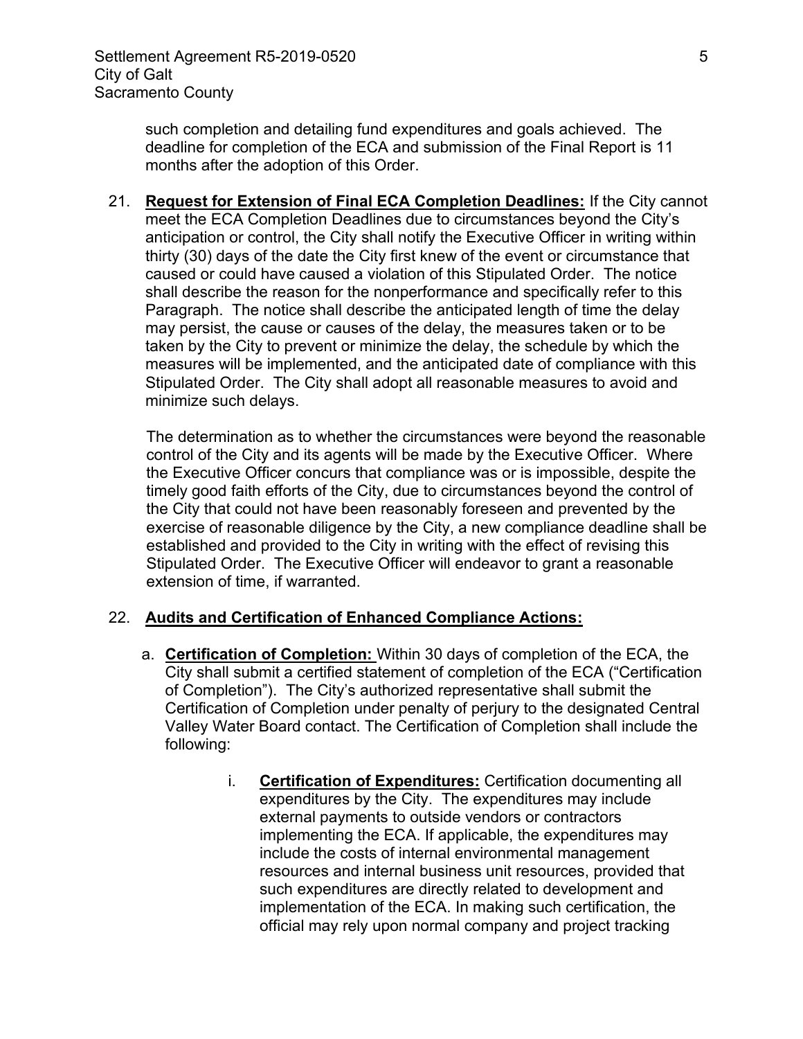such completion and detailing fund expenditures and goals achieved. The deadline for completion of the ECA and submission of the Final Report is 11 months after the adoption of this Order.

21. **Request for Extension of Final ECA Completion Deadlines:** If the City cannot meet the ECA Completion Deadlines due to circumstances beyond the City's anticipation or control, the City shall notify the Executive Officer in writing within thirty (30) days of the date the City first knew of the event or circumstance that caused or could have caused a violation of this Stipulated Order. The notice shall describe the reason for the nonperformance and specifically refer to this Paragraph. The notice shall describe the anticipated length of time the delay may persist, the cause or causes of the delay, the measures taken or to be taken by the City to prevent or minimize the delay, the schedule by which the measures will be implemented, and the anticipated date of compliance with this Stipulated Order. The City shall adopt all reasonable measures to avoid and minimize such delays.

The determination as to whether the circumstances were beyond the reasonable control of the City and its agents will be made by the Executive Officer. Where the Executive Officer concurs that compliance was or is impossible, despite the timely good faith efforts of the City, due to circumstances beyond the control of the City that could not have been reasonably foreseen and prevented by the exercise of reasonable diligence by the City, a new compliance deadline shall be established and provided to the City in writing with the effect of revising this Stipulated Order. The Executive Officer will endeavor to grant a reasonable extension of time, if warranted.

### 22. **Audits and Certification of Enhanced Compliance Actions:**

- a. **Certification of Completion:** Within 30 days of completion of the ECA, the City shall submit a certified statement of completion of the ECA ("Certification of Completion"). The City's authorized representative shall submit the Certification of Completion under penalty of perjury to the designated Central Valley Water Board contact. The Certification of Completion shall include the following:
	- i. **Certification of Expenditures:** Certification documenting all expenditures by the City. The expenditures may include external payments to outside vendors or contractors implementing the ECA. If applicable, the expenditures may include the costs of internal environmental management resources and internal business unit resources, provided that such expenditures are directly related to development and implementation of the ECA. In making such certification, the official may rely upon normal company and project tracking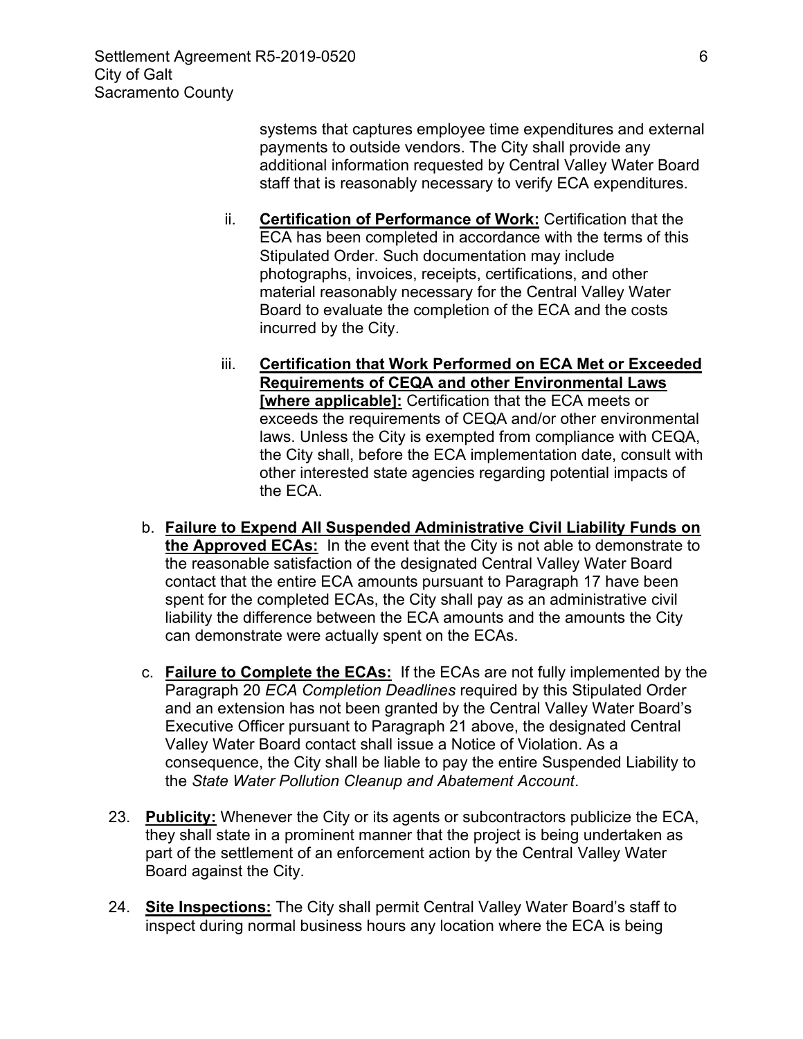systems that captures employee time expenditures and external payments to outside vendors. The City shall provide any additional information requested by Central Valley Water Board staff that is reasonably necessary to verify ECA expenditures.

- ii. **Certification of Performance of Work:** Certification that the ECA has been completed in accordance with the terms of this Stipulated Order. Such documentation may include photographs, invoices, receipts, certifications, and other material reasonably necessary for the Central Valley Water Board to evaluate the completion of the ECA and the costs incurred by the City.
- iii. **Certification that Work Performed on ECA Met or Exceeded Requirements of CEQA and other Environmental Laws [where applicable]:** Certification that the ECA meets or exceeds the requirements of CEQA and/or other environmental laws. Unless the City is exempted from compliance with CEQA, the City shall, before the ECA implementation date, consult with other interested state agencies regarding potential impacts of the ECA.
- b. **Failure to Expend All Suspended Administrative Civil Liability Funds on the Approved ECAs:** In the event that the City is not able to demonstrate to the reasonable satisfaction of the designated Central Valley Water Board contact that the entire ECA amounts pursuant to Paragraph 17 have been spent for the completed ECAs, the City shall pay as an administrative civil liability the difference between the ECA amounts and the amounts the City can demonstrate were actually spent on the ECAs.
- c. **Failure to Complete the ECAs:** If the ECAs are not fully implemented by the Paragraph 20 *ECA Completion Deadlines* required by this Stipulated Order and an extension has not been granted by the Central Valley Water Board's Executive Officer pursuant to Paragraph 21 above, the designated Central Valley Water Board contact shall issue a Notice of Violation. As a consequence, the City shall be liable to pay the entire Suspended Liability to the *State Water Pollution Cleanup and Abatement Account*.
- 23. **Publicity:** Whenever the City or its agents or subcontractors publicize the ECA, they shall state in a prominent manner that the project is being undertaken as part of the settlement of an enforcement action by the Central Valley Water Board against the City.
- 24. **Site Inspections:** The City shall permit Central Valley Water Board's staff to inspect during normal business hours any location where the ECA is being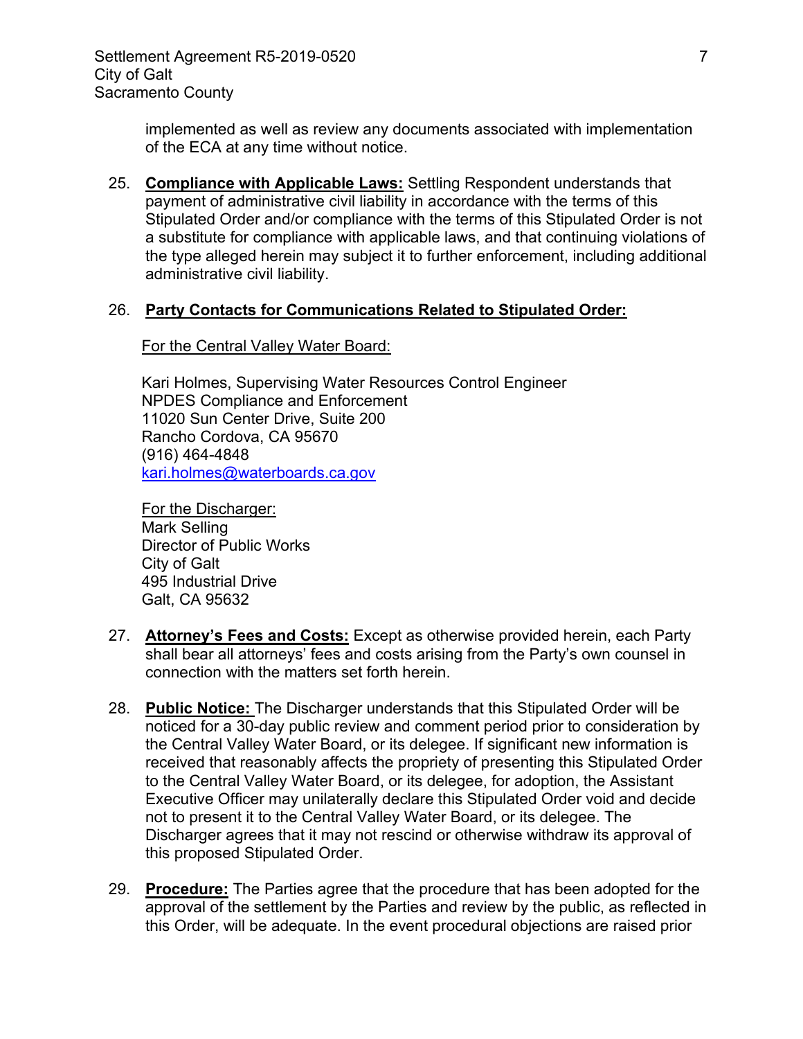implemented as well as review any documents associated with implementation of the ECA at any time without notice.

25. **Compliance with Applicable Laws:** Settling Respondent understands that payment of administrative civil liability in accordance with the terms of this Stipulated Order and/or compliance with the terms of this Stipulated Order is not a substitute for compliance with applicable laws, and that continuing violations of the type alleged herein may subject it to further enforcement, including additional administrative civil liability.

#### 26. **Party Contacts for Communications Related to Stipulated Order:**

#### For the Central Valley Water Board:

Kari Holmes, Supervising Water Resources Control Engineer NPDES Compliance and Enforcement 11020 Sun Center Drive, Suite 200 Rancho Cordova, CA 95670 (916) 464-4848 [kari.holmes@waterboards.ca.gov](mailto:xuan.luo@waterboards.ca.gov)

For the Discharger: Mark Selling Director of Public Works City of Galt 495 Industrial Drive Galt, CA 95632

- 27. **Attorney's Fees and Costs:** Except as otherwise provided herein, each Party shall bear all attorneys' fees and costs arising from the Party's own counsel in connection with the matters set forth herein.
- 28. **Public Notice:** The Discharger understands that this Stipulated Order will be noticed for a 30-day public review and comment period prior to consideration by the Central Valley Water Board, or its delegee. If significant new information is received that reasonably affects the propriety of presenting this Stipulated Order to the Central Valley Water Board, or its delegee, for adoption, the Assistant Executive Officer may unilaterally declare this Stipulated Order void and decide not to present it to the Central Valley Water Board, or its delegee. The Discharger agrees that it may not rescind or otherwise withdraw its approval of this proposed Stipulated Order.
- 29. **Procedure:** The Parties agree that the procedure that has been adopted for the approval of the settlement by the Parties and review by the public, as reflected in this Order, will be adequate. In the event procedural objections are raised prior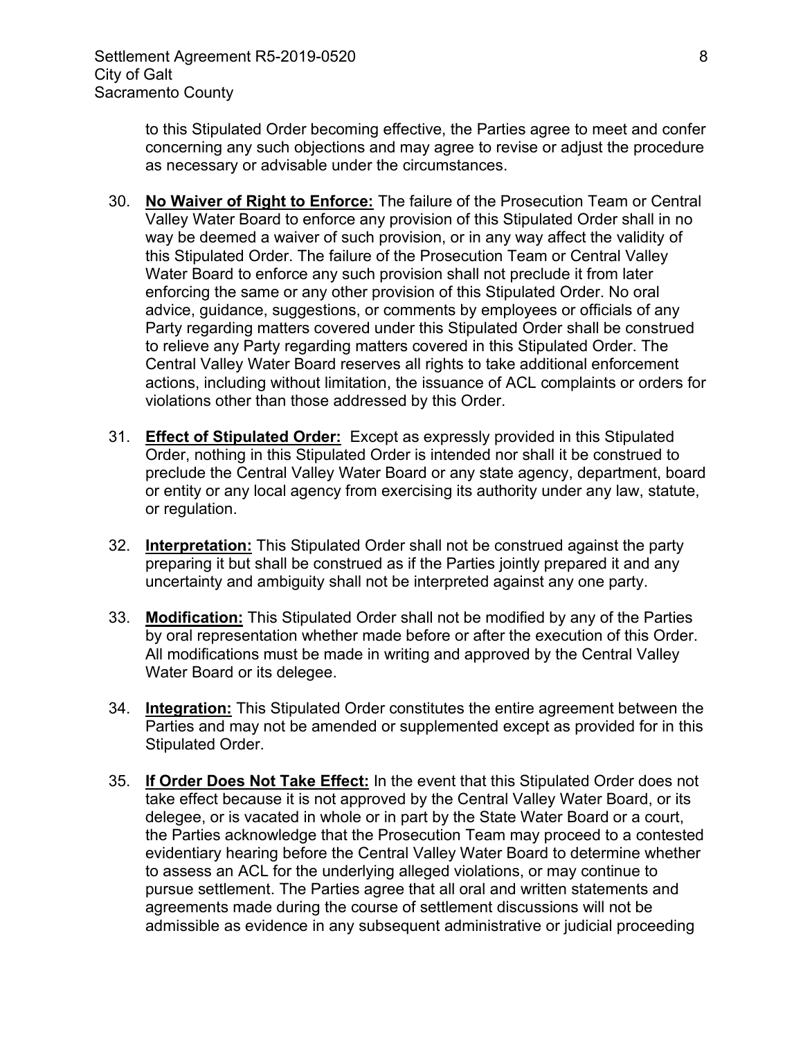to this Stipulated Order becoming effective, the Parties agree to meet and confer concerning any such objections and may agree to revise or adjust the procedure as necessary or advisable under the circumstances.

- 30. **No Waiver of Right to Enforce:** The failure of the Prosecution Team or Central Valley Water Board to enforce any provision of this Stipulated Order shall in no way be deemed a waiver of such provision, or in any way affect the validity of this Stipulated Order. The failure of the Prosecution Team or Central Valley Water Board to enforce any such provision shall not preclude it from later enforcing the same or any other provision of this Stipulated Order. No oral advice, guidance, suggestions, or comments by employees or officials of any Party regarding matters covered under this Stipulated Order shall be construed to relieve any Party regarding matters covered in this Stipulated Order. The Central Valley Water Board reserves all rights to take additional enforcement actions, including without limitation, the issuance of ACL complaints or orders for violations other than those addressed by this Order.
- 31. **Effect of Stipulated Order:** Except as expressly provided in this Stipulated Order, nothing in this Stipulated Order is intended nor shall it be construed to preclude the Central Valley Water Board or any state agency, department, board or entity or any local agency from exercising its authority under any law, statute, or regulation.
- 32. **Interpretation:** This Stipulated Order shall not be construed against the party preparing it but shall be construed as if the Parties jointly prepared it and any uncertainty and ambiguity shall not be interpreted against any one party.
- 33. **Modification:** This Stipulated Order shall not be modified by any of the Parties by oral representation whether made before or after the execution of this Order. All modifications must be made in writing and approved by the Central Valley Water Board or its delegee.
- 34. **Integration:** This Stipulated Order constitutes the entire agreement between the Parties and may not be amended or supplemented except as provided for in this Stipulated Order.
- 35. **If Order Does Not Take Effect:** In the event that this Stipulated Order does not take effect because it is not approved by the Central Valley Water Board, or its delegee, or is vacated in whole or in part by the State Water Board or a court, the Parties acknowledge that the Prosecution Team may proceed to a contested evidentiary hearing before the Central Valley Water Board to determine whether to assess an ACL for the underlying alleged violations, or may continue to pursue settlement. The Parties agree that all oral and written statements and agreements made during the course of settlement discussions will not be admissible as evidence in any subsequent administrative or judicial proceeding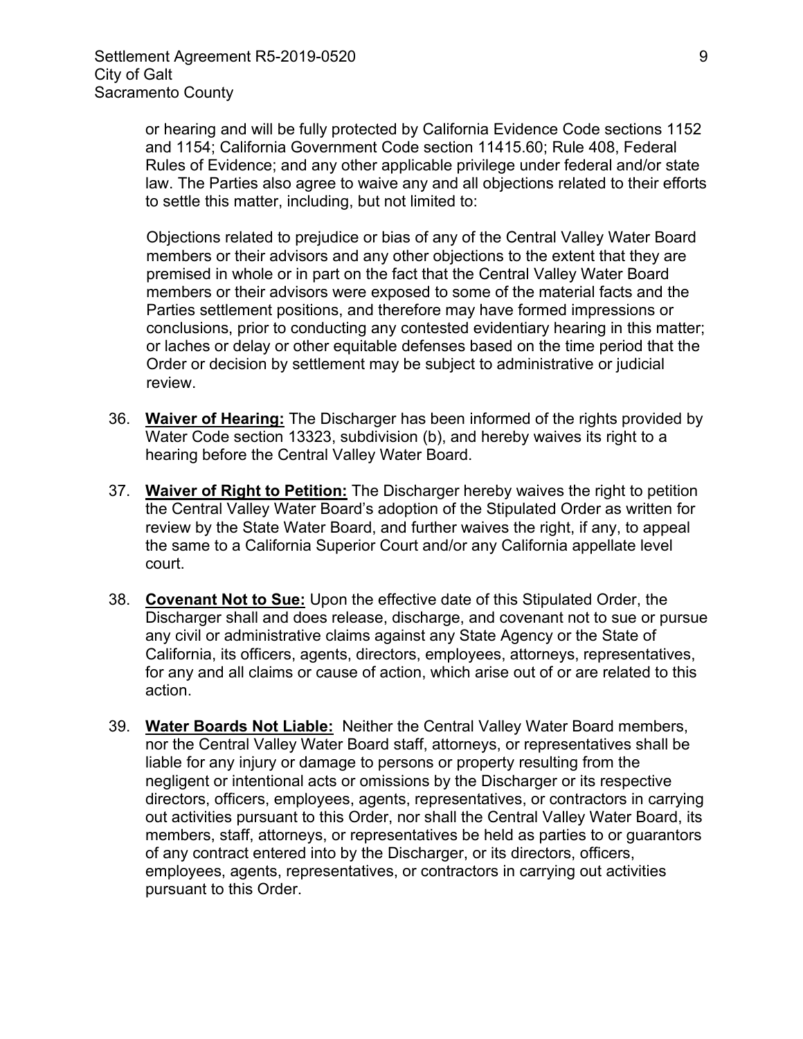or hearing and will be fully protected by California Evidence Code sections 1152 and 1154; California Government Code section 11415.60; Rule 408, Federal Rules of Evidence; and any other applicable privilege under federal and/or state law. The Parties also agree to waive any and all objections related to their efforts to settle this matter, including, but not limited to:

Objections related to prejudice or bias of any of the Central Valley Water Board members or their advisors and any other objections to the extent that they are premised in whole or in part on the fact that the Central Valley Water Board members or their advisors were exposed to some of the material facts and the Parties settlement positions, and therefore may have formed impressions or conclusions, prior to conducting any contested evidentiary hearing in this matter; or laches or delay or other equitable defenses based on the time period that the Order or decision by settlement may be subject to administrative or judicial review.

- 36. **Waiver of Hearing:** The Discharger has been informed of the rights provided by Water Code section 13323, subdivision (b), and hereby waives its right to a hearing before the Central Valley Water Board.
- 37. **Waiver of Right to Petition:** The Discharger hereby waives the right to petition the Central Valley Water Board's adoption of the Stipulated Order as written for review by the State Water Board, and further waives the right, if any, to appeal the same to a California Superior Court and/or any California appellate level court.
- 38. **Covenant Not to Sue:** Upon the effective date of this Stipulated Order, the Discharger shall and does release, discharge, and covenant not to sue or pursue any civil or administrative claims against any State Agency or the State of California, its officers, agents, directors, employees, attorneys, representatives, for any and all claims or cause of action, which arise out of or are related to this action.
- 39. **Water Boards Not Liable:** Neither the Central Valley Water Board members, nor the Central Valley Water Board staff, attorneys, or representatives shall be liable for any injury or damage to persons or property resulting from the negligent or intentional acts or omissions by the Discharger or its respective directors, officers, employees, agents, representatives, or contractors in carrying out activities pursuant to this Order, nor shall the Central Valley Water Board, its members, staff, attorneys, or representatives be held as parties to or guarantors of any contract entered into by the Discharger, or its directors, officers, employees, agents, representatives, or contractors in carrying out activities pursuant to this Order.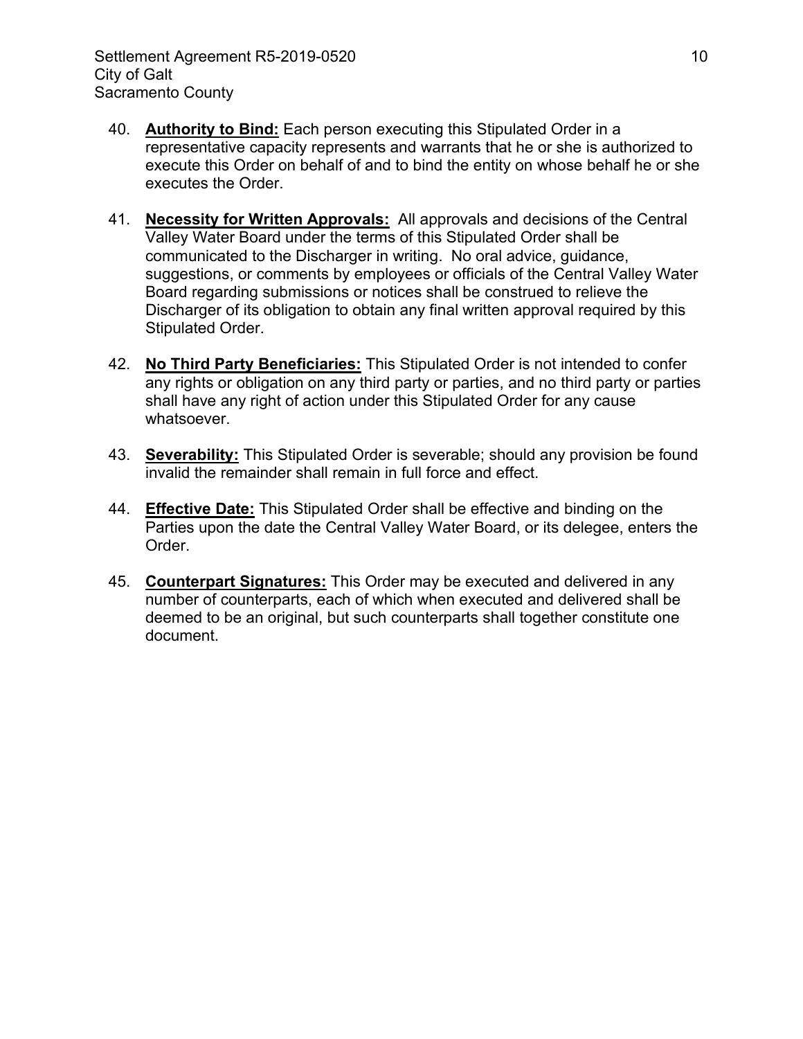- 40. **Authority to Bind:** Each person executing this Stipulated Order in a representative capacity represents and warrants that he or she is authorized to execute this Order on behalf of and to bind the entity on whose behalf he or she executes the Order.
- 41. **Necessity for Written Approvals:** All approvals and decisions of the Central Valley Water Board under the terms of this Stipulated Order shall be communicated to the Discharger in writing. No oral advice, guidance, suggestions, or comments by employees or officials of the Central Valley Water Board regarding submissions or notices shall be construed to relieve the Discharger of its obligation to obtain any final written approval required by this Stipulated Order.
- 42. **No Third Party Beneficiaries:** This Stipulated Order is not intended to confer any rights or obligation on any third party or parties, and no third party or parties shall have any right of action under this Stipulated Order for any cause whatsoever.
- 43. **Severability:** This Stipulated Order is severable; should any provision be found invalid the remainder shall remain in full force and effect.
- 44. **Effective Date:** This Stipulated Order shall be effective and binding on the Parties upon the date the Central Valley Water Board, or its delegee, enters the Order.
- 45. **Counterpart Signatures:** This Order may be executed and delivered in any number of counterparts, each of which when executed and delivered shall be deemed to be an original, but such counterparts shall together constitute one document.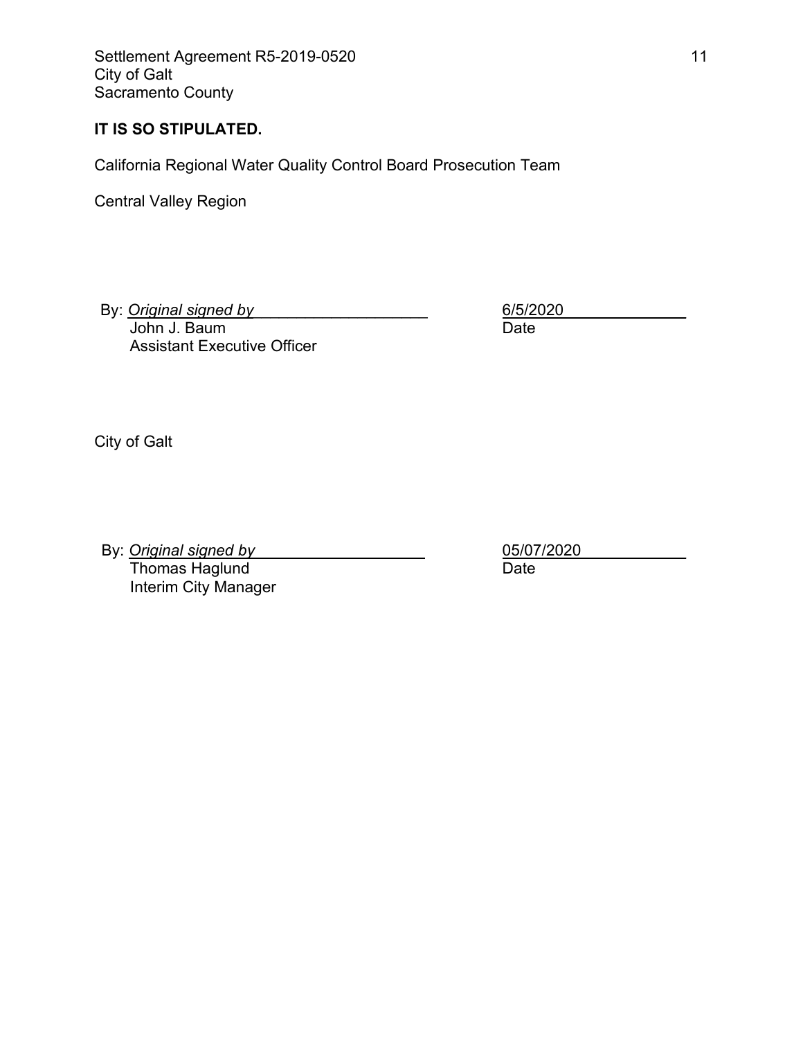Settlement Agreement R5-2019-0520 11 and the settlement Agreement R5-2019-0520 City of Galt Sacramento County

### **IT IS SO STIPULATED.**

California Regional Water Quality Control Board Prosecution Team

Central Valley Region

By: *Original signed by* John J. Baum

Assistant Executive Officer

6/5/2020\_\_\_\_\_\_\_\_\_\_\_\_\_\_ Date

City of Galt

By: **Original signed by** Thomas Haglund Interim City Manager

05/07/2020\_\_\_\_\_\_\_\_\_\_\_\_ Date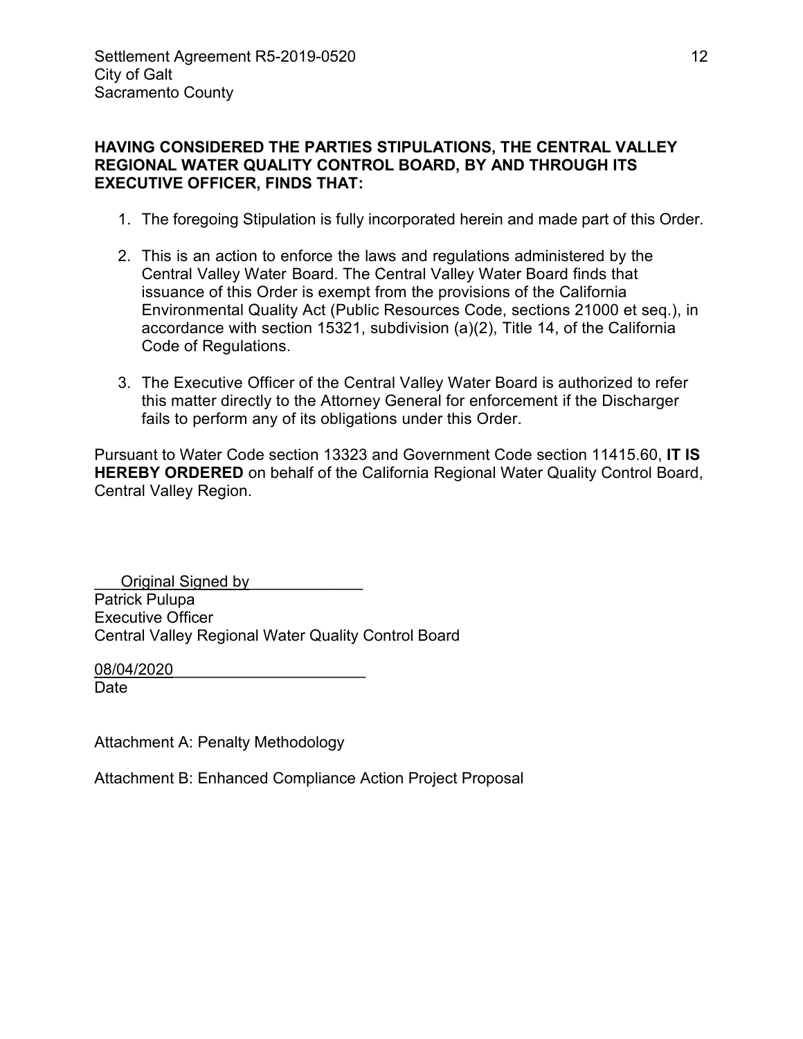### **HAVING CONSIDERED THE PARTIES STIPULATIONS, THE CENTRAL VALLEY REGIONAL WATER QUALITY CONTROL BOARD, BY AND THROUGH ITS EXECUTIVE OFFICER, FINDS THAT:**

- 1. The foregoing Stipulation is fully incorporated herein and made part of this Order.
- 2. This is an action to enforce the laws and regulations administered by the Central Valley Water Board. The Central Valley Water Board finds that issuance of this Order is exempt from the provisions of the California Environmental Quality Act (Public Resources Code, sections 21000 et seq.), in accordance with section 15321, subdivision (a)(2), Title 14, of the California Code of Regulations.
- 3. The Executive Officer of the Central Valley Water Board is authorized to refer this matter directly to the Attorney General for enforcement if the Discharger fails to perform any of its obligations under this Order.

Pursuant to Water Code section 13323 and Government Code section 11415.60, **IT IS HEREBY ORDERED** on behalf of the California Regional Water Quality Control Board, Central Valley Region.

Original Signed by Patrick Pulupa Executive Officer Central Valley Regional Water Quality Control Board

08/04/2020 Date

Attachment A: Penalty Methodology

Attachment B: Enhanced Compliance Action Project Proposal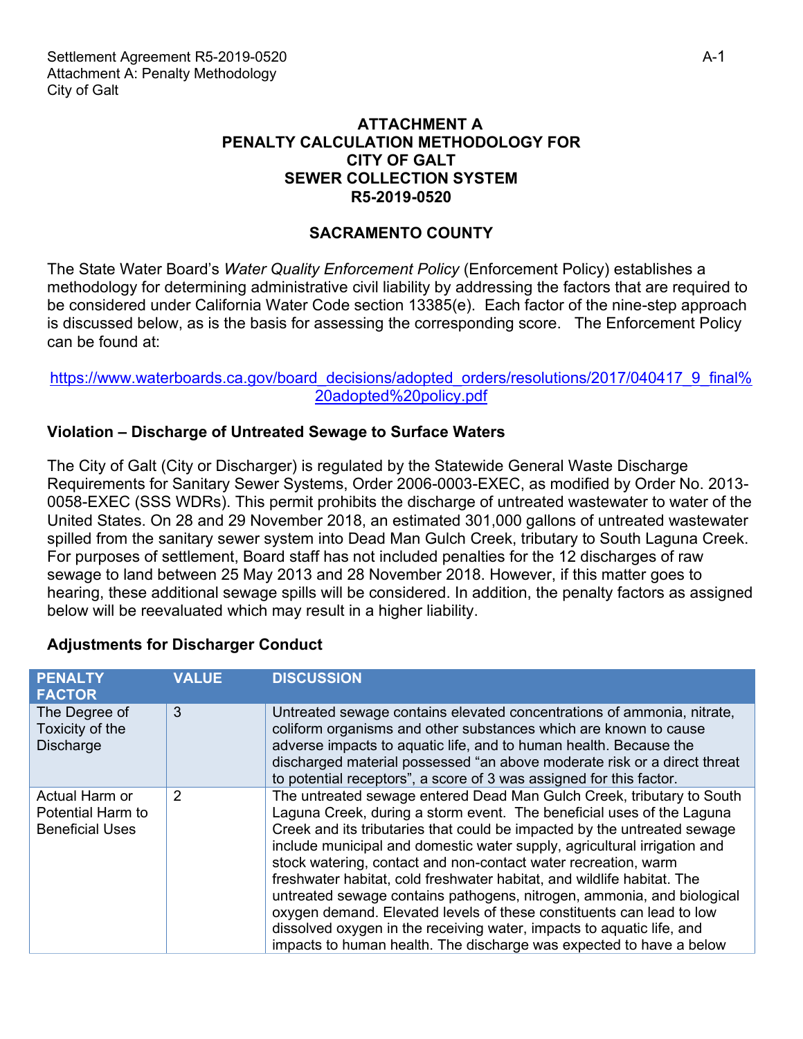### **ATTACHMENT A PENALTY CALCULATION METHODOLOGY FOR CITY OF GALT SEWER COLLECTION SYSTEM R5-2019-0520**

## **SACRAMENTO COUNTY**

The State Water Board's *Water Quality Enforcement Policy* (Enforcement Policy) establishes a methodology for determining administrative civil liability by addressing the factors that are required to be considered under California Water Code section 13385(e). Each factor of the nine-step approach is discussed below, as is the basis for assessing the corresponding score. The Enforcement Policy can be found at:

### [https://www.waterboards.ca.gov/board\\_decisions/adopted\\_orders/resolutions/2017/040417\\_9\\_final%](https://www.waterboards.ca.gov/board_decisions/adopted_orders/resolutions/2017/040417_9_final adopted policy.pdf) [20adopted%20policy.pdf](https://www.waterboards.ca.gov/board_decisions/adopted_orders/resolutions/2017/040417_9_final adopted policy.pdf)

## **Violation – Discharge of Untreated Sewage to Surface Waters**

The City of Galt (City or Discharger) is regulated by the Statewide General Waste Discharge Requirements for Sanitary Sewer Systems, Order 2006-0003-EXEC, as modified by Order No. 2013- 0058-EXEC (SSS WDRs). This permit prohibits the discharge of untreated wastewater to water of the United States. On 28 and 29 November 2018, an estimated 301,000 gallons of untreated wastewater spilled from the sanitary sewer system into Dead Man Gulch Creek, tributary to South Laguna Creek. For purposes of settlement, Board staff has not included penalties for the 12 discharges of raw sewage to land between 25 May 2013 and 28 November 2018. However, if this matter goes to hearing, these additional sewage spills will be considered. In addition, the penalty factors as assigned below will be reevaluated which may result in a higher liability.

### **Adjustments for Discharger Conduct**

| <b>PENALTY</b><br><b>FACTOR</b>                               | <b>VALUE</b> | <b>DISCUSSION</b>                                                                                                                                                                                                                                                                                                                                                                                                                                                                                                                                                                                                                                                                                                                                    |
|---------------------------------------------------------------|--------------|------------------------------------------------------------------------------------------------------------------------------------------------------------------------------------------------------------------------------------------------------------------------------------------------------------------------------------------------------------------------------------------------------------------------------------------------------------------------------------------------------------------------------------------------------------------------------------------------------------------------------------------------------------------------------------------------------------------------------------------------------|
| The Degree of<br>Toxicity of the<br>Discharge                 | 3            | Untreated sewage contains elevated concentrations of ammonia, nitrate,<br>coliform organisms and other substances which are known to cause<br>adverse impacts to aquatic life, and to human health. Because the<br>discharged material possessed "an above moderate risk or a direct threat<br>to potential receptors", a score of 3 was assigned for this factor.                                                                                                                                                                                                                                                                                                                                                                                   |
| Actual Harm or<br>Potential Harm to<br><b>Beneficial Uses</b> | 2            | The untreated sewage entered Dead Man Gulch Creek, tributary to South<br>Laguna Creek, during a storm event. The beneficial uses of the Laguna<br>Creek and its tributaries that could be impacted by the untreated sewage<br>include municipal and domestic water supply, agricultural irrigation and<br>stock watering, contact and non-contact water recreation, warm<br>freshwater habitat, cold freshwater habitat, and wildlife habitat. The<br>untreated sewage contains pathogens, nitrogen, ammonia, and biological<br>oxygen demand. Elevated levels of these constituents can lead to low<br>dissolved oxygen in the receiving water, impacts to aquatic life, and<br>impacts to human health. The discharge was expected to have a below |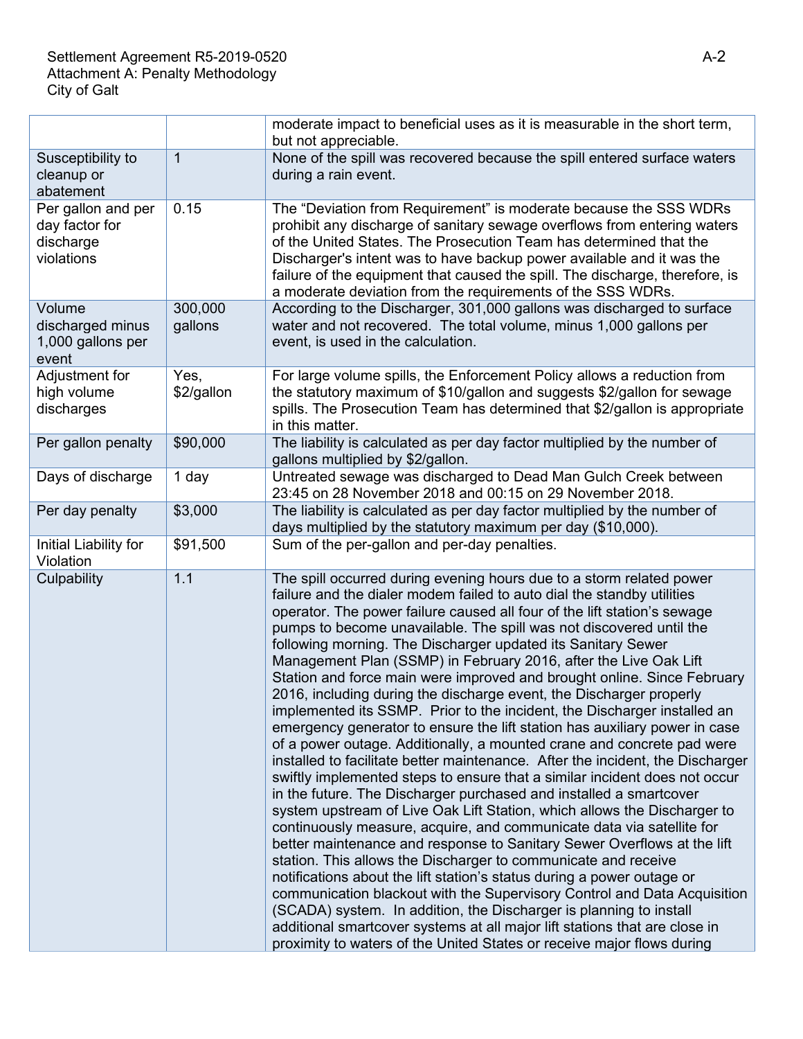|                                                                 |                    | moderate impact to beneficial uses as it is measurable in the short term,<br>but not appreciable.                                                                                                                                                                                                                                                                                                                                                                                                                                                                                                                                                                                                                                                                                                                                                                                                                                                                                                                                                                                                                                                                                                                                                                                                                                                                                                                                                                                                                                                                                                                                                                                                                                                       |  |
|-----------------------------------------------------------------|--------------------|---------------------------------------------------------------------------------------------------------------------------------------------------------------------------------------------------------------------------------------------------------------------------------------------------------------------------------------------------------------------------------------------------------------------------------------------------------------------------------------------------------------------------------------------------------------------------------------------------------------------------------------------------------------------------------------------------------------------------------------------------------------------------------------------------------------------------------------------------------------------------------------------------------------------------------------------------------------------------------------------------------------------------------------------------------------------------------------------------------------------------------------------------------------------------------------------------------------------------------------------------------------------------------------------------------------------------------------------------------------------------------------------------------------------------------------------------------------------------------------------------------------------------------------------------------------------------------------------------------------------------------------------------------------------------------------------------------------------------------------------------------|--|
| Susceptibility to<br>cleanup or<br>abatement                    | $\overline{1}$     | None of the spill was recovered because the spill entered surface waters<br>during a rain event.                                                                                                                                                                                                                                                                                                                                                                                                                                                                                                                                                                                                                                                                                                                                                                                                                                                                                                                                                                                                                                                                                                                                                                                                                                                                                                                                                                                                                                                                                                                                                                                                                                                        |  |
| Per gallon and per<br>day factor for<br>discharge<br>violations | 0.15               | The "Deviation from Requirement" is moderate because the SSS WDRs<br>prohibit any discharge of sanitary sewage overflows from entering waters<br>of the United States. The Prosecution Team has determined that the<br>Discharger's intent was to have backup power available and it was the<br>failure of the equipment that caused the spill. The discharge, therefore, is<br>a moderate deviation from the requirements of the SSS WDRs.                                                                                                                                                                                                                                                                                                                                                                                                                                                                                                                                                                                                                                                                                                                                                                                                                                                                                                                                                                                                                                                                                                                                                                                                                                                                                                             |  |
| Volume<br>discharged minus<br>1,000 gallons per<br>event        | 300,000<br>gallons | According to the Discharger, 301,000 gallons was discharged to surface<br>water and not recovered. The total volume, minus 1,000 gallons per<br>event, is used in the calculation.                                                                                                                                                                                                                                                                                                                                                                                                                                                                                                                                                                                                                                                                                                                                                                                                                                                                                                                                                                                                                                                                                                                                                                                                                                                                                                                                                                                                                                                                                                                                                                      |  |
| Adjustment for<br>high volume<br>discharges                     | Yes,<br>\$2/gallon | For large volume spills, the Enforcement Policy allows a reduction from<br>the statutory maximum of \$10/gallon and suggests \$2/gallon for sewage<br>spills. The Prosecution Team has determined that \$2/gallon is appropriate<br>in this matter.                                                                                                                                                                                                                                                                                                                                                                                                                                                                                                                                                                                                                                                                                                                                                                                                                                                                                                                                                                                                                                                                                                                                                                                                                                                                                                                                                                                                                                                                                                     |  |
| Per gallon penalty                                              | \$90,000           | The liability is calculated as per day factor multiplied by the number of<br>gallons multiplied by \$2/gallon.                                                                                                                                                                                                                                                                                                                                                                                                                                                                                                                                                                                                                                                                                                                                                                                                                                                                                                                                                                                                                                                                                                                                                                                                                                                                                                                                                                                                                                                                                                                                                                                                                                          |  |
| Days of discharge                                               | 1 day              | Untreated sewage was discharged to Dead Man Gulch Creek between<br>23:45 on 28 November 2018 and 00:15 on 29 November 2018.                                                                                                                                                                                                                                                                                                                                                                                                                                                                                                                                                                                                                                                                                                                                                                                                                                                                                                                                                                                                                                                                                                                                                                                                                                                                                                                                                                                                                                                                                                                                                                                                                             |  |
| Per day penalty                                                 | \$3,000            | The liability is calculated as per day factor multiplied by the number of<br>days multiplied by the statutory maximum per day (\$10,000).                                                                                                                                                                                                                                                                                                                                                                                                                                                                                                                                                                                                                                                                                                                                                                                                                                                                                                                                                                                                                                                                                                                                                                                                                                                                                                                                                                                                                                                                                                                                                                                                               |  |
| Initial Liability for<br>Violation                              | \$91,500           | Sum of the per-gallon and per-day penalties.                                                                                                                                                                                                                                                                                                                                                                                                                                                                                                                                                                                                                                                                                                                                                                                                                                                                                                                                                                                                                                                                                                                                                                                                                                                                                                                                                                                                                                                                                                                                                                                                                                                                                                            |  |
| Culpability                                                     | 1.1                | The spill occurred during evening hours due to a storm related power<br>failure and the dialer modem failed to auto dial the standby utilities<br>operator. The power failure caused all four of the lift station's sewage<br>pumps to become unavailable. The spill was not discovered until the<br>following morning. The Discharger updated its Sanitary Sewer<br>Management Plan (SSMP) in February 2016, after the Live Oak Lift<br>Station and force main were improved and brought online. Since February<br>2016, including during the discharge event, the Discharger properly<br>implemented its SSMP. Prior to the incident, the Discharger installed an<br>emergency generator to ensure the lift station has auxiliary power in case<br>of a power outage. Additionally, a mounted crane and concrete pad were<br>installed to facilitate better maintenance. After the incident, the Discharger<br>swiftly implemented steps to ensure that a similar incident does not occur<br>in the future. The Discharger purchased and installed a smartcover<br>system upstream of Live Oak Lift Station, which allows the Discharger to<br>continuously measure, acquire, and communicate data via satellite for<br>better maintenance and response to Sanitary Sewer Overflows at the lift<br>station. This allows the Discharger to communicate and receive<br>notifications about the lift station's status during a power outage or<br>communication blackout with the Supervisory Control and Data Acquisition<br>(SCADA) system. In addition, the Discharger is planning to install<br>additional smartcover systems at all major lift stations that are close in<br>proximity to waters of the United States or receive major flows during |  |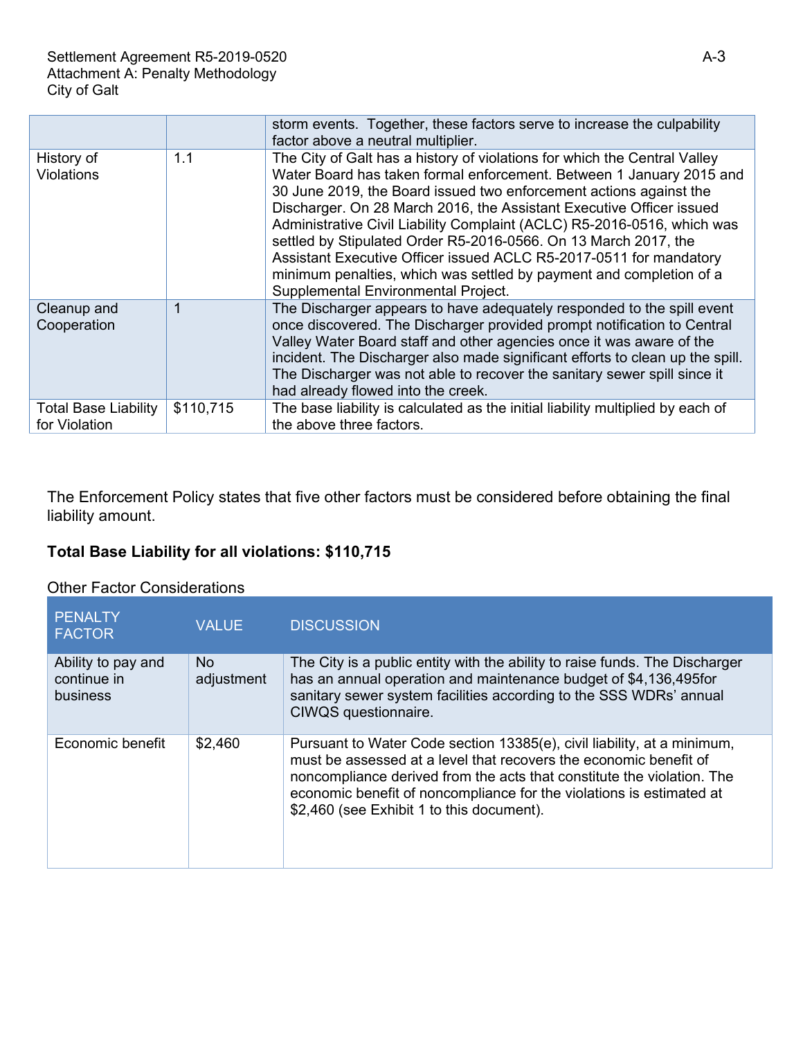|                                              |           | storm events. Together, these factors serve to increase the culpability<br>factor above a neutral multiplier.                                                                                                                                                                                                                                                                                                                                                                                                                                                                                                                     |
|----------------------------------------------|-----------|-----------------------------------------------------------------------------------------------------------------------------------------------------------------------------------------------------------------------------------------------------------------------------------------------------------------------------------------------------------------------------------------------------------------------------------------------------------------------------------------------------------------------------------------------------------------------------------------------------------------------------------|
| History of<br><b>Violations</b>              | 1.1       | The City of Galt has a history of violations for which the Central Valley<br>Water Board has taken formal enforcement. Between 1 January 2015 and<br>30 June 2019, the Board issued two enforcement actions against the<br>Discharger. On 28 March 2016, the Assistant Executive Officer issued<br>Administrative Civil Liability Complaint (ACLC) R5-2016-0516, which was<br>settled by Stipulated Order R5-2016-0566. On 13 March 2017, the<br>Assistant Executive Officer issued ACLC R5-2017-0511 for mandatory<br>minimum penalties, which was settled by payment and completion of a<br>Supplemental Environmental Project. |
| Cleanup and<br>Cooperation                   | 1         | The Discharger appears to have adequately responded to the spill event<br>once discovered. The Discharger provided prompt notification to Central<br>Valley Water Board staff and other agencies once it was aware of the<br>incident. The Discharger also made significant efforts to clean up the spill.<br>The Discharger was not able to recover the sanitary sewer spill since it<br>had already flowed into the creek.                                                                                                                                                                                                      |
| <b>Total Base Liability</b><br>for Violation | \$110,715 | The base liability is calculated as the initial liability multiplied by each of<br>the above three factors.                                                                                                                                                                                                                                                                                                                                                                                                                                                                                                                       |

The Enforcement Policy states that five other factors must be considered before obtaining the final liability amount.

# **Total Base Liability for all violations: \$110,715**

### Other Factor Considerations

| <b>PENALTY</b><br><b>FACTOR</b>                      | <b>VALUE</b>      | <b>DISCUSSION</b>                                                                                                                                                                                                                                                                                                                           |
|------------------------------------------------------|-------------------|---------------------------------------------------------------------------------------------------------------------------------------------------------------------------------------------------------------------------------------------------------------------------------------------------------------------------------------------|
| Ability to pay and<br>continue in<br><b>business</b> | No.<br>adjustment | The City is a public entity with the ability to raise funds. The Discharger<br>has an annual operation and maintenance budget of \$4,136,495 for<br>sanitary sewer system facilities according to the SSS WDRs' annual<br>CIWQS questionnaire.                                                                                              |
| Economic benefit                                     | \$2,460           | Pursuant to Water Code section 13385(e), civil liability, at a minimum,<br>must be assessed at a level that recovers the economic benefit of<br>noncompliance derived from the acts that constitute the violation. The<br>economic benefit of noncompliance for the violations is estimated at<br>\$2,460 (see Exhibit 1 to this document). |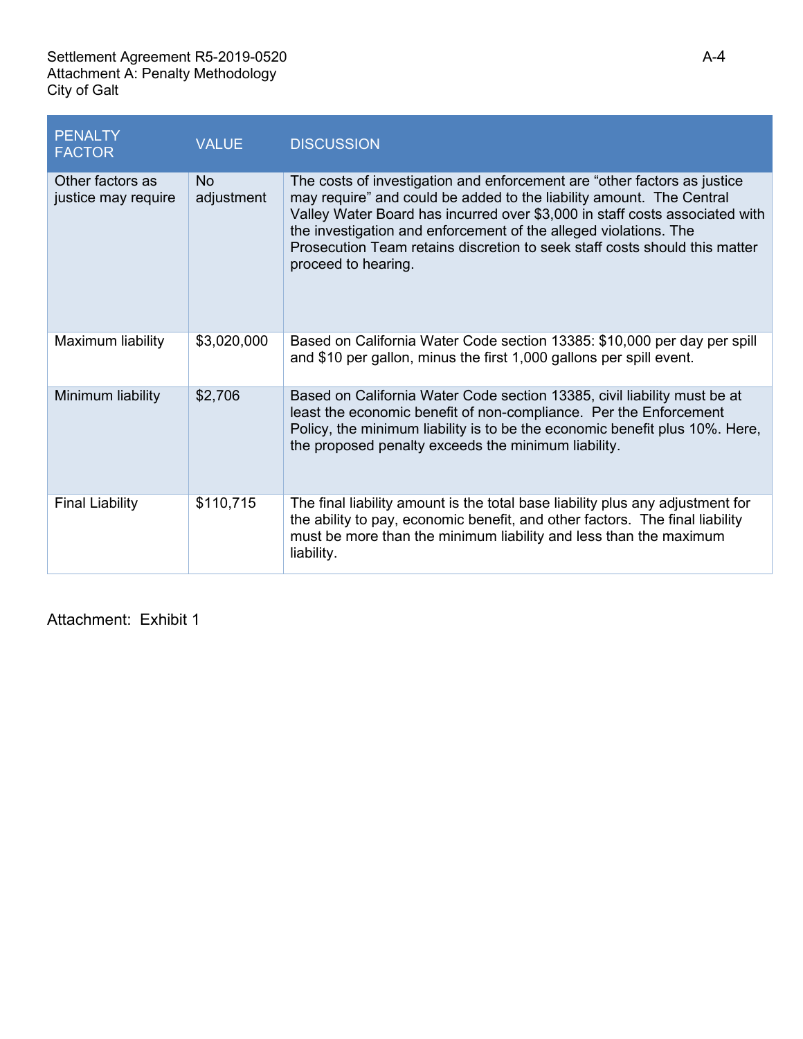| <b>PENALTY</b><br><b>FACTOR</b>         | <b>VALUE</b>            | <b>DISCUSSION</b>                                                                                                                                                                                                                                                                                                                                                                                        |
|-----------------------------------------|-------------------------|----------------------------------------------------------------------------------------------------------------------------------------------------------------------------------------------------------------------------------------------------------------------------------------------------------------------------------------------------------------------------------------------------------|
| Other factors as<br>justice may require | <b>No</b><br>adjustment | The costs of investigation and enforcement are "other factors as justice<br>may require" and could be added to the liability amount. The Central<br>Valley Water Board has incurred over \$3,000 in staff costs associated with<br>the investigation and enforcement of the alleged violations. The<br>Prosecution Team retains discretion to seek staff costs should this matter<br>proceed to hearing. |
| Maximum liability                       | \$3,020,000             | Based on California Water Code section 13385: \$10,000 per day per spill<br>and \$10 per gallon, minus the first 1,000 gallons per spill event.                                                                                                                                                                                                                                                          |
| Minimum liability                       | \$2,706                 | Based on California Water Code section 13385, civil liability must be at<br>least the economic benefit of non-compliance. Per the Enforcement<br>Policy, the minimum liability is to be the economic benefit plus 10%. Here,<br>the proposed penalty exceeds the minimum liability.                                                                                                                      |
| <b>Final Liability</b>                  | \$110,715               | The final liability amount is the total base liability plus any adjustment for<br>the ability to pay, economic benefit, and other factors. The final liability<br>must be more than the minimum liability and less than the maximum<br>liability.                                                                                                                                                        |

Attachment: Exhibit 1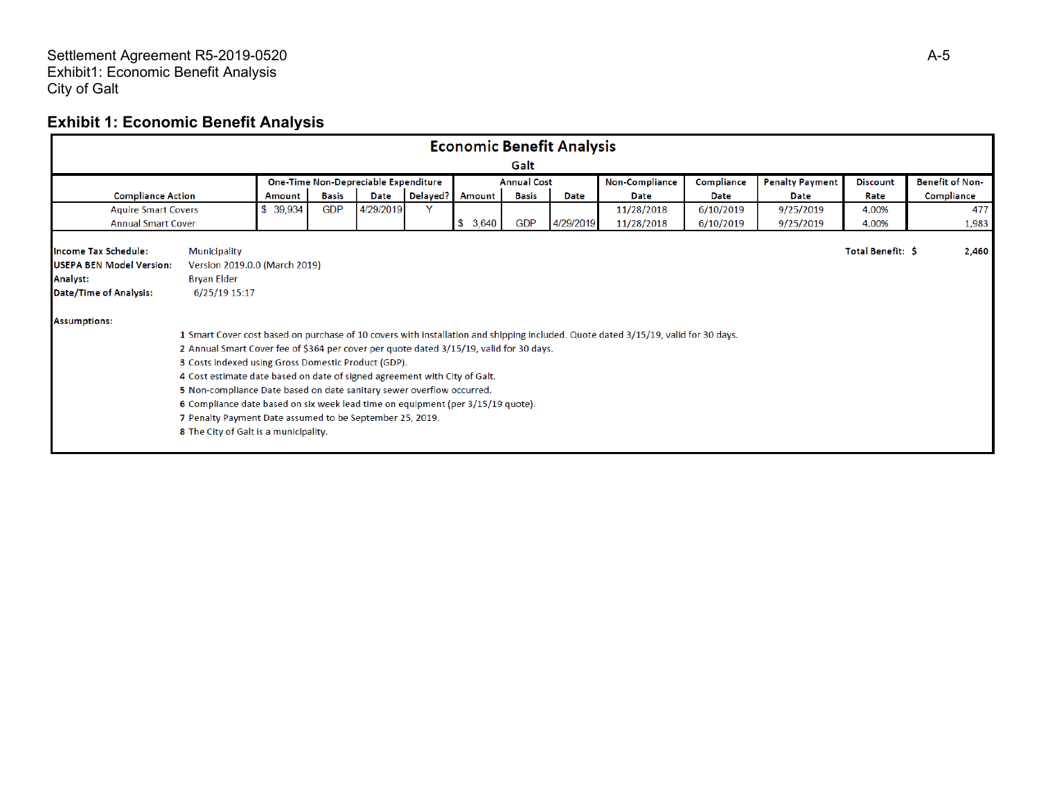#### Settlement Agreement R5 -2019 -0520 Exhibit1: Economic Benefit Analysis City of Galt

# **Exhibit 1: Economic Benefit Analysis**

| <b>Economic Benefit Analysis</b>                                                                     |                                                                                                                                                                                                                                                                                                                                                                                                                                                                                                                                                                                                                                                     |          |              |             |          |               |              |           |                        |             |             |       |            |
|------------------------------------------------------------------------------------------------------|-----------------------------------------------------------------------------------------------------------------------------------------------------------------------------------------------------------------------------------------------------------------------------------------------------------------------------------------------------------------------------------------------------------------------------------------------------------------------------------------------------------------------------------------------------------------------------------------------------------------------------------------------------|----------|--------------|-------------|----------|---------------|--------------|-----------|------------------------|-------------|-------------|-------|------------|
| Galt                                                                                                 |                                                                                                                                                                                                                                                                                                                                                                                                                                                                                                                                                                                                                                                     |          |              |             |          |               |              |           |                        |             |             |       |            |
|                                                                                                      | <b>Non-Compliance</b><br>Compliance<br><b>Penalty Payment</b><br>One-Time Non-Depreciable Expenditure<br><b>Annual Cost</b><br><b>Discount</b>                                                                                                                                                                                                                                                                                                                                                                                                                                                                                                      |          |              |             |          |               |              |           | <b>Benefit of Non-</b> |             |             |       |            |
| <b>Compliance Action</b>                                                                             |                                                                                                                                                                                                                                                                                                                                                                                                                                                                                                                                                                                                                                                     | Amount   | <b>Basis</b> | <b>Date</b> | Delayed? | <b>Amount</b> | <b>Basis</b> | Date      | <b>Date</b>            | <b>Date</b> | <b>Date</b> | Rate  | Compliance |
| <b>Aquire Smart Covers</b>                                                                           |                                                                                                                                                                                                                                                                                                                                                                                                                                                                                                                                                                                                                                                     | \$39,934 | <b>GDP</b>   | 4/29/2019   | Y        |               |              |           | 11/28/2018             | 6/10/2019   | 9/25/2019   | 4.00% | 477        |
| <b>Annual Smart Cover</b>                                                                            |                                                                                                                                                                                                                                                                                                                                                                                                                                                                                                                                                                                                                                                     |          |              |             |          | \$3,640       | <b>GDP</b>   | 4/29/2019 | 11/28/2018             | 6/10/2019   | 9/25/2019   | 4.00% | 1,983      |
| <b>Income Tax Schedule:</b><br><b>USEPA BEN Model Version:</b><br>Analyst:<br>Date/Time of Analysis: | <b>Municipality</b><br>Total Benefit: \$<br>2,460<br>Version 2019.0.0 (March 2019)<br><b>Bryan Elder</b>                                                                                                                                                                                                                                                                                                                                                                                                                                                                                                                                            |          |              |             |          |               |              |           |                        |             |             |       |            |
| <b>Assumptions:</b>                                                                                  | 6/25/19 15:17<br>1 Smart Cover cost based on purchase of 10 covers with installation and shipping included. Quote dated 3/15/19, valid for 30 days.<br>2 Annual Smart Cover fee of \$364 per cover per quote dated 3/15/19, valid for 30 days.<br>3 Costs indexed using Gross Domestic Product (GDP).<br>4 Cost estimate date based on date of signed agreement with City of Galt.<br>5 Non-compliance Date based on date sanitary sewer overflow occurred.<br>6 Compliance date based on six week lead time on equipment (per 3/15/19 quote).<br>7 Penalty Payment Date assumed to be September 25, 2019.<br>8 The City of Galt is a municipality. |          |              |             |          |               |              |           |                        |             |             |       |            |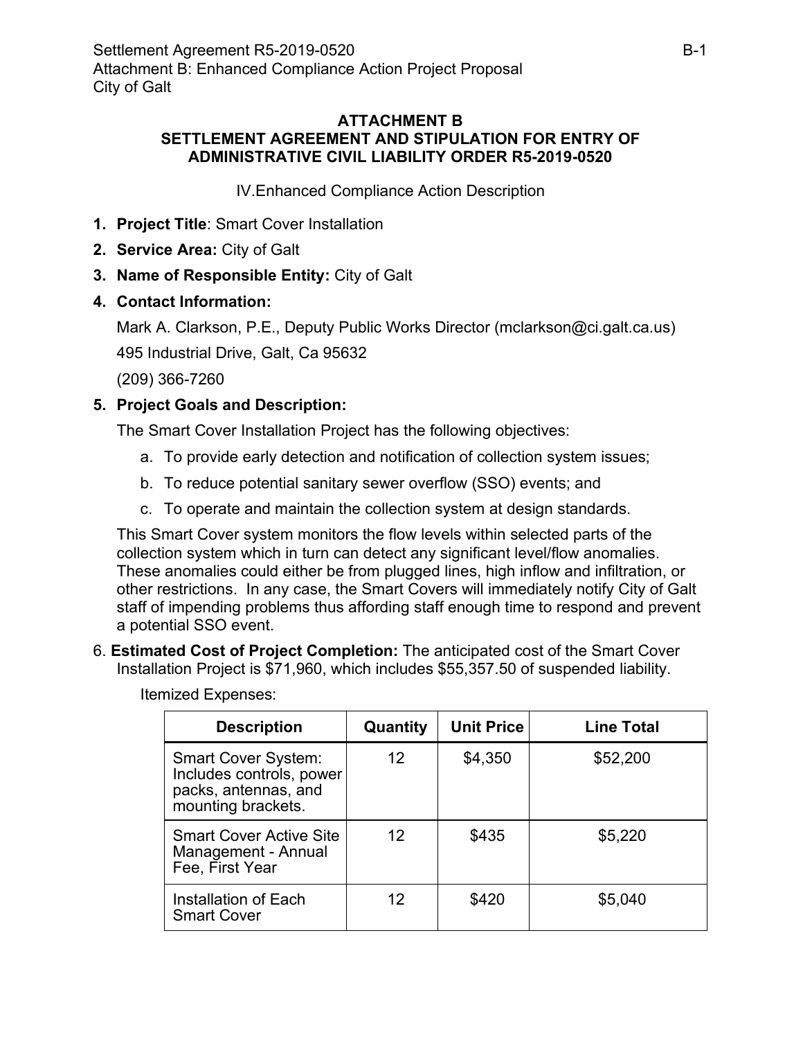### **ATTACHMENT B SETTLEMENT AGREEMENT AND STIPULATION FOR ENTRY OF ADMINISTRATIVE CIVIL LIABILITY ORDER R5-2019-0520**

IV.Enhanced Compliance Action Description

- **1. Project Title**: Smart Cover Installation
- **2. Service Area:** City of Galt
- **3. Name of Responsible Entity:** City of Galt
- **4. Contact Information:**

Mark A. Clarkson, P.E., Deputy Public Works Director (mclarkson@ci.galt.ca.us)

495 Industrial Drive, Galt, Ca 95632

(209) 366-7260

### **5. Project Goals and Description:**

The Smart Cover Installation Project has the following objectives:

- a. To provide early detection and notification of collection system issues;
- b. To reduce potential sanitary sewer overflow (SSO) events; and
- c. To operate and maintain the collection system at design standards.

This Smart Cover system monitors the flow levels within selected parts of the collection system which in turn can detect any significant level/flow anomalies. These anomalies could either be from plugged lines, high inflow and infiltration, or other restrictions. In any case, the Smart Covers will immediately notify City of Galt staff of impending problems thus affording staff enough time to respond and prevent a potential SSO event.

6. **Estimated Cost of Project Completion:** The anticipated cost of the Smart Cover Installation Project is \$71,960, which includes \$55,357.50 of suspended liability.

| <b>Description</b>                                                                                   | Quantity | <b>Unit Price</b> | <b>Line Total</b> |  |
|------------------------------------------------------------------------------------------------------|----------|-------------------|-------------------|--|
| <b>Smart Cover System:</b><br>Includes controls, power<br>packs, antennas, and<br>mounting brackets. | 12       | \$4,350           | \$52,200          |  |
| <b>Smart Cover Active Site</b><br>Management - Annual<br>Fee, First Year                             | 12       | \$435             | \$5,220           |  |
| Installation of Each<br><b>Smart Cover</b>                                                           | 12       | \$420             | \$5,040           |  |

Itemized Expenses: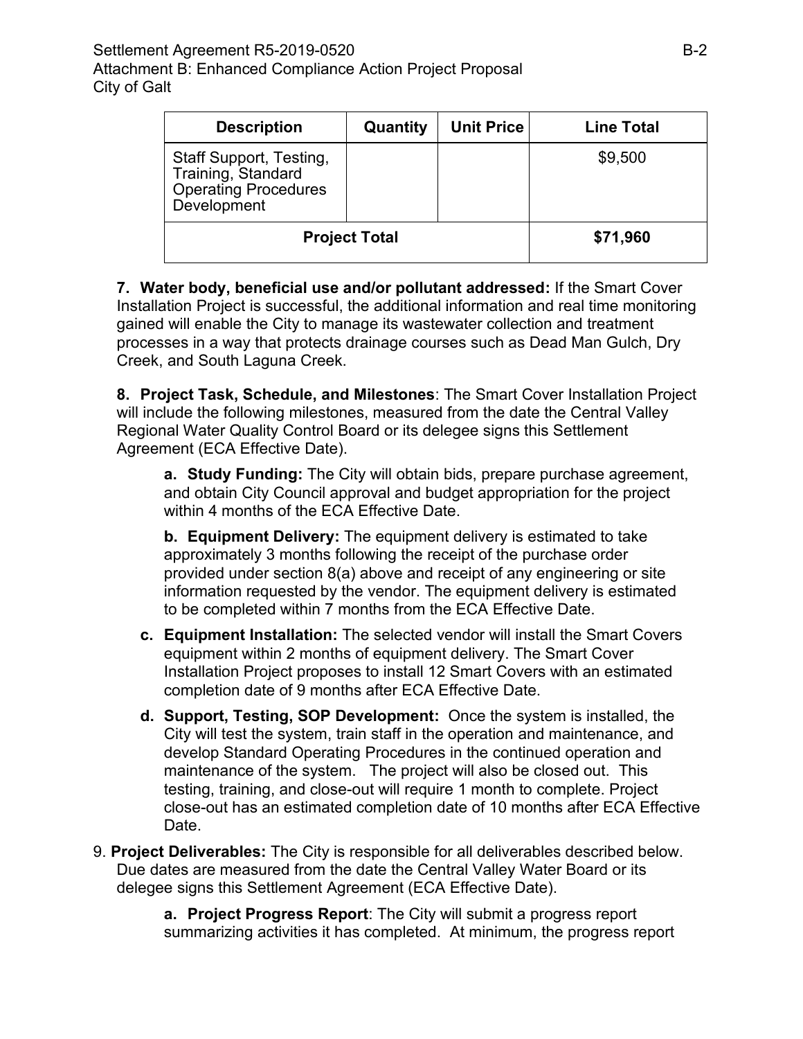| <b>Description</b>                                                                          | Quantity | <b>Unit Price</b> | <b>Line Total</b> |
|---------------------------------------------------------------------------------------------|----------|-------------------|-------------------|
| Staff Support, Testing,<br>Training, Standard<br><b>Operating Procedures</b><br>Development |          |                   | \$9,500           |
| <b>Project Total</b>                                                                        | \$71,960 |                   |                   |

**7. Water body, beneficial use and/or pollutant addressed:** If the Smart Cover Installation Project is successful, the additional information and real time monitoring gained will enable the City to manage its wastewater collection and treatment processes in a way that protects drainage courses such as Dead Man Gulch, Dry Creek, and South Laguna Creek.

**8. Project Task, Schedule, and Milestones**: The Smart Cover Installation Project will include the following milestones, measured from the date the Central Valley Regional Water Quality Control Board or its delegee signs this Settlement Agreement (ECA Effective Date).

**a. Study Funding:** The City will obtain bids, prepare purchase agreement, and obtain City Council approval and budget appropriation for the project within 4 months of the ECA Effective Date.

**b. Equipment Delivery:** The equipment delivery is estimated to take approximately 3 months following the receipt of the purchase order provided under section 8(a) above and receipt of any engineering or site information requested by the vendor. The equipment delivery is estimated to be completed within 7 months from the ECA Effective Date.

- **c. Equipment Installation:** The selected vendor will install the Smart Covers equipment within 2 months of equipment delivery. The Smart Cover Installation Project proposes to install 12 Smart Covers with an estimated completion date of 9 months after ECA Effective Date.
- **d. Support, Testing, SOP Development:** Once the system is installed, the City will test the system, train staff in the operation and maintenance, and develop Standard Operating Procedures in the continued operation and maintenance of the system. The project will also be closed out. This testing, training, and close-out will require 1 month to complete. Project close-out has an estimated completion date of 10 months after ECA Effective Date.
- 9. **Project Deliverables:** The City is responsible for all deliverables described below. Due dates are measured from the date the Central Valley Water Board or its delegee signs this Settlement Agreement (ECA Effective Date).

**a. Project Progress Report**: The City will submit a progress report summarizing activities it has completed. At minimum, the progress report